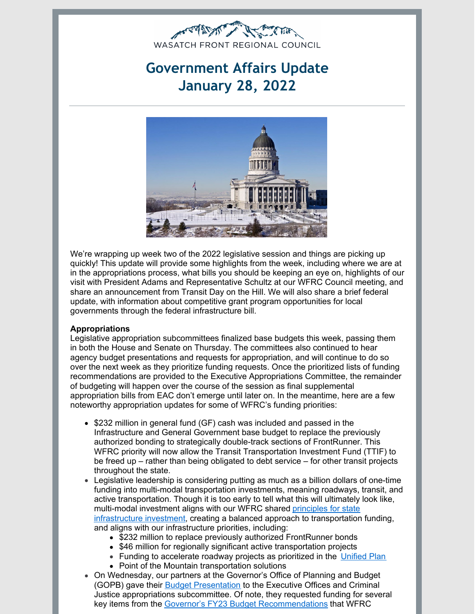

# **Government Affairs Update January 28, 2022**



We're wrapping up week two of the 2022 legislative session and things are picking up quickly! This update will provide some highlights from the week, including where we are at in the appropriations process, what bills you should be keeping an eye on, highlights of our visit with President Adams and Representative Schultz at our WFRC Council meeting, and share an announcement from Transit Day on the Hill. We will also share a brief federal update, with information about competitive grant program opportunities for local governments through the federal infrastructure bill.

## **Appropriations**

Legislative appropriation subcommittees finalized base budgets this week, passing them in both the House and Senate on Thursday. The committees also continued to hear agency budget presentations and requests for appropriation, and will continue to do so over the next week as they prioritize funding requests. Once the prioritized lists of funding recommendations are provided to the Executive Appropriations Committee, the remainder of budgeting will happen over the course of the session as final supplemental appropriation bills from EAC don't emerge until later on. In the meantime, here are a few noteworthy appropriation updates for some of WFRC's funding priorities:

- \$232 million in general fund (GF) cash was included and passed in the Infrastructure and General Government base budget to replace the previously authorized bonding to strategically double-track sections of FrontRunner. This WFRC priority will now allow the Transit Transportation Investment Fund (TTIF) to be freed up – rather than being obligated to debt service – for other transit projects throughout the state.
- Legislative leadership is considering putting as much as a billion dollars of one-time funding into multi-modal transportation investments, meaning roadways, transit, and active transportation. Though it is too early to tell what this will ultimately look like, multi-modal investment aligns with our WFRC shared principles for state [infrastructure](https://wfrc.org/PublicInvolvement/GovernmentalAffairs/JointLetterofSupportforInfrastructureInvestmentLegislature.pdf) investment, creating a balanced approach to transportation funding, and aligns with our infrastructure priorities, including:
	- \$232 million to replace previously authorized FrontRunner bonds
	- \$46 million for regionally significant active transportation projects
	- Funding to accelerate roadway projects as prioritized in the [Unified](https://unifiedplan.org/) Plan
	- Point of the Mountain transportation solutions
- On Wednesday, our partners at the Governor's Office of Planning and Budget (GOPB) gave their Budget [Presentation](https://le.utah.gov/interim/2022/pdf/00000693.pdf) to the Executive Offices and Criminal Justice appropriations subcommittee. Of note, they requested funding for several key items from the Governor's FY23 Budget [Recommendations](https://gopb.utah.gov/wp-content/uploads/2021/12/2021_12_07-Budget-Book.pdf) that WFRC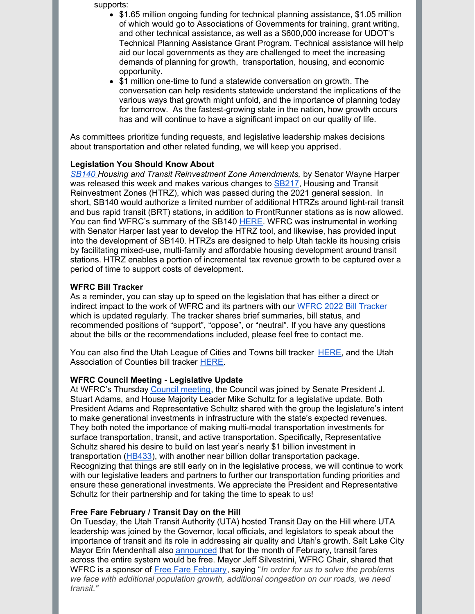supports:

- $\bullet$ \$1.65 million ongoing funding for technical planning assistance, \$1.05 million of which would go to Associations of Governments for training, grant writing, and other technical assistance, as well as a \$600,000 increase for UDOT's Technical Planning Assistance Grant Program. Technical assistance will help aid our local governments as they are challenged to meet the increasing demands of planning for growth, transportation, housing, and economic opportunity.
- \$1 million one-time to fund a statewide conversation on growth. The conversation can help residents statewide understand the implications of the various ways that growth might unfold, and the importance of planning today for tomorrow. As the fastest-growing state in the nation, how growth occurs has and will continue to have a significant impact on our quality of life.

As committees prioritize funding requests, and legislative leadership makes decisions about transportation and other related funding, we will keep you apprised.

### **Legislation You Should Know About**

*[SB140](https://le.utah.gov/~2022/bills/static/SB0140.html) Housing and Transit Reinvestment Zone Amendments,* by Senator Wayne Harper was released this week and makes various changes to **[SB217](https://le.utah.gov/~2021/bills/static/SB0217.html)**, Housing and Transit Reinvestment Zones (HTRZ), which was passed during the 2021 general session. In short, SB140 would authorize a limited number of additional HTRZs around light-rail transit and bus rapid transit (BRT) stations, in addition to FrontRunner stations as is now allowed. You can find WFRC's summary of the SB140 [HERE](https://docs.google.com/document/d/1qRKW_jACIEms2zN7XoF943CeI9DlMRx3D3a9GAJGKWc/edit). WFRC was instrumental in working with Senator Harper last year to develop the HTRZ tool, and likewise, has provided input into the development of SB140. HTRZs are designed to help Utah tackle its housing crisis by facilitating mixed-use, multi-family and affordable housing development around transit stations. HTRZ enables a portion of incremental tax revenue growth to be captured over a period of time to support costs of development.

### **WFRC Bill Tracker**

As a reminder, you can stay up to speed on the legislation that has either a direct or indirect impact to the work of WFRC and its partners with our WFRC 2022 Bill [Tracker](https://wfrc.org/billtracker/) which is updated regularly. The tracker shares brief summaries, bill status, and recommended positions of "support", "oppose", or "neutral". If you have any questions about the bills or the recommendations included, please feel free to contact me.

You can also find the Utah League of Cities and Towns bill tracker [HERE](https://www.ulct.org/advocacy/bill-tracking), and the Utah Association of Counties bill tracker [HERE](https://www.uacnet.org/uac-legislative-advocacy).

### **WFRC Council Meeting - Legislative Update**

At WFRC's Thursday Council [meeting](https://www.youtube.com/watch?v=7Abjdyj5mmQ), the Council was joined by Senate President J. Stuart Adams, and House Majority Leader Mike Schultz for a legislative update. Both President Adams and Representative Schultz shared with the group the legislature's intent to make generational investments in infrastructure with the state's expected revenues. They both noted the importance of making multi-modal transportation investments for surface transportation, transit, and active transportation. Specifically, Representative Schultz shared his desire to build on last year's nearly \$1 billion investment in transportation [\(HB433](https://le.utah.gov/~2021/bills/static/HB0433.html)), with another near billion dollar transportation package. Recognizing that things are still early on in the legislative process, we will continue to work with our legislative leaders and partners to further our transportation funding priorities and ensure these generational investments. We appreciate the President and Representative Schultz for their partnership and for taking the time to speak to us!

### **Free Fare February / Transit Day on the Hill**

On Tuesday, the Utah Transit Authority (UTA) hosted Transit Day on the Hill where UTA leadership was joined by the Governor, local officials, and legislators to speak about the importance of transit and its role in addressing air quality and Utah's growth. Salt Lake City Mayor Erin Mendenhall also [announced](https://www.sltrib.com/news/politics/2022/01/26/all-uta-fares-are-free/) that for the month of February, transit fares across the entire system would be free. Mayor Jeff Silvestrini, WFRC Chair, shared that WFRC is a sponsor of Free Fare [February](https://rideuta.com/Rider-Info/Free-Fare-February?utm_medium=email&utm_source=govdelivery), saying "*In order for us to solve the problems we face with additional population growth, additional congestion on our roads, we need transit."*